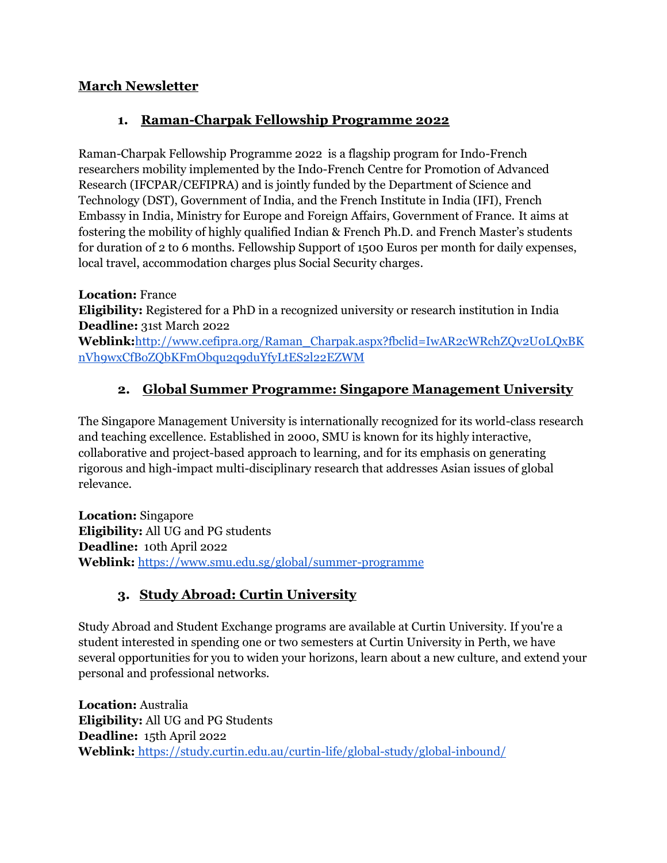#### **March Newsletter**

### **1. Raman-Charpak Fellowship Programme 2022**

Raman-Charpak Fellowship Programme 2022 is a flagship program for Indo-French researchers mobility implemented by the Indo-French Centre for Promotion of Advanced Research (IFCPAR/CEFIPRA) and is jointly funded by the Department of Science and Technology (DST), Government of India, and the French Institute in India (IFI), French Embassy in India, Ministry for Europe and Foreign Affairs, Government of France. It aims at fostering the mobility of highly qualified Indian & French Ph.D. and French Master's students for duration of 2 to 6 months. Fellowship Support of 1500 Euros per month for daily expenses, local travel, accommodation charges plus Social Security charges.

**Location:** France **Eligibility:** Registered for a PhD in a recognized university or research institution in India **Deadline:** 31st March 2022 **Weblink:**[http://www.cefipra.org/Raman\\_Charpak.aspx?fbclid=IwAR2cWRchZQv2U0LQxBK](http://www.cefipra.org/Raman_Charpak.aspx?fbclid=IwAR2cWRchZQv2U0LQxBKnVh9wxCfBoZQbKFmObqu2q9duYfyLtES2l22EZWM) [nVh9wxCfBoZQbKFmObqu2q9duYfyLtES2l22EZWM](http://www.cefipra.org/Raman_Charpak.aspx?fbclid=IwAR2cWRchZQv2U0LQxBKnVh9wxCfBoZQbKFmObqu2q9duYfyLtES2l22EZWM)

# **2. Global Summer Programme: Singapore Management University**

The Singapore Management University is internationally recognized for its world-class research and teaching excellence. Established in 2000, SMU is known for its highly interactive, collaborative and project-based approach to learning, and for its emphasis on generating rigorous and high-impact multi-disciplinary research that addresses Asian issues of global relevance.

**Location:** Singapore **Eligibility:** All UG and PG students **Deadline:** 10th April 2022 **Weblink:** <https://www.smu.edu.sg/global/summer-programme>

# **3. Study Abroad: Curtin University**

Study Abroad and Student Exchange programs are available at Curtin University. If you're a student interested in spending one or two semesters at Curtin University in Perth, we have several opportunities for you to widen your horizons, learn about a new culture, and extend your personal and professional networks.

**Location:** Australia **Eligibility:** All UG and PG Students **Deadline:** 15th April 2022 **Weblink[:](https://study.curtin.edu.au/curtin-life/global-study/global-inbound/)** <https://study.curtin.edu.au/curtin-life/global-study/global-inbound/>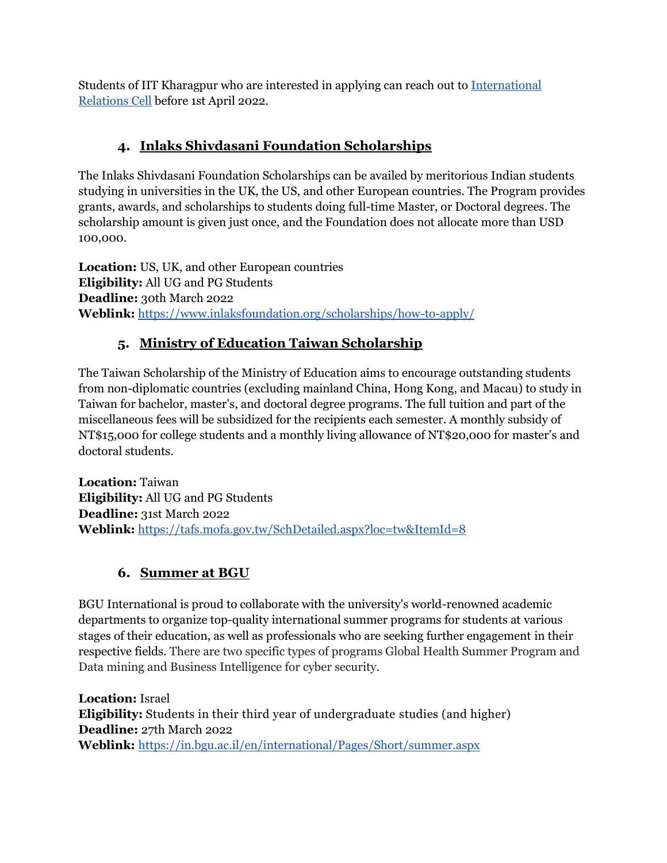Students of IIT Kharagpur who are interested in applying can reach out to [International](https://ircell.iitkgp.ac.in/)  [Relations Cell](https://ircell.iitkgp.ac.in/) before 1st April 2022.

# **4. Inlaks Shivdasani Foundation Scholarships**

The Inlaks Shivdasani Foundation Scholarships can be availed by meritorious Indian students studying in universities in the UK, the US, and other European countries. The Program provides grants, awards, and scholarships to students doing full-time Master, or Doctoral degrees. The scholarship amount is given just once, and the Foundation does not allocate more than USD 100,000.

**Location:** US, UK, and other European countries **Eligibility:** All UG and PG Students **Deadline:** 30th March 2022 **Weblink:** <https://www.inlaksfoundation.org/scholarships/how-to-apply/>

# **5. Ministry of Education Taiwan Scholarship**

The Taiwan Scholarship of the Ministry of Education aims to encourage outstanding students from non-diplomatic countries (excluding mainland China, Hong Kong, and Macau) to study in Taiwan for bachelor, master's, and doctoral degree programs. The full tuition and part of the miscellaneous fees will be subsidized for the recipients each semester. A monthly subsidy of NT\$15,000 for college students and a monthly living allowance of NT\$20,000 for master's and doctoral students.

**Location:** Taiwan **Eligibility:** All UG and PG Students **Deadline:** 31st March 2022 **Weblink:** <https://tafs.mofa.gov.tw/SchDetailed.aspx?loc=tw&ItemId=8>

#### **6. Summer at BGU**

BGU International is proud to collaborate with the university's world-renowned academic departments to organize top-quality international summer programs for students at various stages of their education, as well as professionals who are seeking further engagement in their respective fields. There are two specific types of programs Global Health Summer Program and Data mining and Business Intelligence for cyber security.

**Location:** Israel **Eligibility:** Students in their third year of undergraduate studies (and higher) **Deadline:** 27th March 2022 **Weblink:** https://in.bgu.ac.il/en/international/Pages/Short/summer.aspx